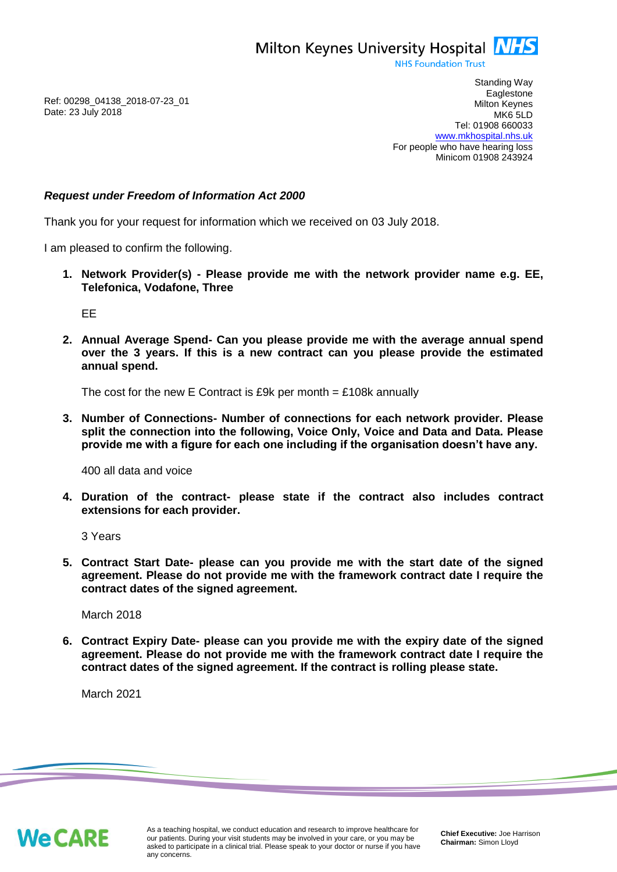Milton Keynes University Hospital **NHS** 

**NHS Foundation Trust** 

Ref: 00298\_04138\_2018-07-23\_01 Date: 23 July 2018

Standing Way **Eaglestone** Milton Keynes MK6 5LD Tel: 01908 660033 [www.mkhospital.nhs.uk](http://www.mkhospital.nhs.uk/) For people who have hearing loss Minicom 01908 243924

## *Request under Freedom of Information Act 2000*

Thank you for your request for information which we received on 03 July 2018.

I am pleased to confirm the following.

**1. Network Provider(s) - Please provide me with the network provider name e.g. EE, Telefonica, Vodafone, Three**

EE

**2. Annual Average Spend- Can you please provide me with the average annual spend over the 3 years. If this is a new contract can you please provide the estimated annual spend.**

The cost for the new E Contract is £9k per month  $=$  £108k annually

**3. Number of Connections- Number of connections for each network provider. Please split the connection into the following, Voice Only, Voice and Data and Data. Please provide me with a figure for each one including if the organisation doesn't have any.**

400 all data and voice

**4. Duration of the contract- please state if the contract also includes contract extensions for each provider.**

3 Years

**5. Contract Start Date- please can you provide me with the start date of the signed agreement. Please do not provide me with the framework contract date I require the contract dates of the signed agreement.**

March 2018

**6. Contract Expiry Date- please can you provide me with the expiry date of the signed agreement. Please do not provide me with the framework contract date I require the contract dates of the signed agreement. If the contract is rolling please state.**

March 2021